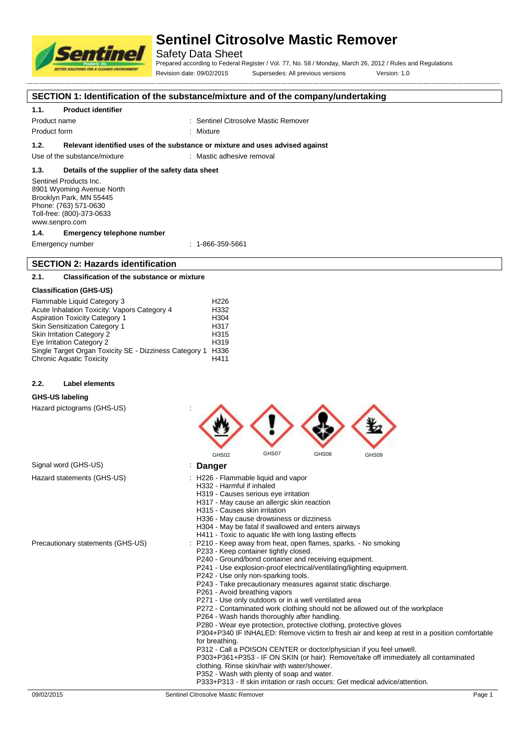

## Safety Data Sheet

Prepared according to Federal Register / Vol. 77, No. 58 / Monday, March 26, 2012 / Rules and Regulations Revision date: 09/02/2015 Supersedes: All previous versions Version: 1.0

́

**SECTION 1: Identification of the substance/mixture and of the company/undertaking**

### **1.1. Product identifier**

Product name **in the sentimel Citrosolve Mastic Remover** : Sentinel Citrosolve Mastic Remover

Product form : Nixture : Mixture

#### **1.2. Relevant identified uses of the substance or mixture and uses advised against**

Use of the substance/mixture : Mastic adhesive removal

### **1.3. Details of the supplier of the safety data sheet**

Sentinel Products Inc. 8901 Wyoming Avenue North Brooklyn Park, MN 55445 Phone: (763) 571-0630 Toll-free: (800)-373-0633 www.senpro.com

#### **1.4. Emergency telephone number**

Emergency number : 1-866-359-5661

## **SECTION 2: Hazards identification**

## **2.1. Classification of the substance or mixture**

#### **Classification (GHS-US)**

| Flammable Liquid Category 3                            | H <sub>226</sub> |
|--------------------------------------------------------|------------------|
| Acute Inhalation Toxicity: Vapors Category 4           | H332             |
| <b>Aspiration Toxicity Category 1</b>                  | H <sub>304</sub> |
| <b>Skin Sensitization Category 1</b>                   | H <sub>317</sub> |
| <b>Skin Irritation Category 2</b>                      | H <sub>315</sub> |
| Eye Irritation Category 2                              | H <sub>319</sub> |
| Single Target Organ Toxicity SE - Dizziness Category 1 | H336             |
| <b>Chronic Aquatic Toxicity</b>                        | H411             |

#### **2.2. Label elements**

## **GHS-US labeling**

Hazard pictograms (GHS-US) in the state of the state of the state of the state of the state of the state of the state of the state of the state of the state of the state of the state of the state of the state of the state

|                                   | GHS07<br>GHS08<br>GHS02<br>GHS09                                                                                                                                                                                                                                                                                                                                                                                                                                                                                                                                                                                                                                                                                                                                                                                                                                                                                                                                                                                                                                                                             |
|-----------------------------------|--------------------------------------------------------------------------------------------------------------------------------------------------------------------------------------------------------------------------------------------------------------------------------------------------------------------------------------------------------------------------------------------------------------------------------------------------------------------------------------------------------------------------------------------------------------------------------------------------------------------------------------------------------------------------------------------------------------------------------------------------------------------------------------------------------------------------------------------------------------------------------------------------------------------------------------------------------------------------------------------------------------------------------------------------------------------------------------------------------------|
| Signal word (GHS-US)              | Danger                                                                                                                                                                                                                                                                                                                                                                                                                                                                                                                                                                                                                                                                                                                                                                                                                                                                                                                                                                                                                                                                                                       |
| Hazard statements (GHS-US)        | : H226 - Flammable liquid and vapor<br>H332 - Harmful if inhaled<br>H319 - Causes serious eye irritation<br>H317 - May cause an allergic skin reaction<br>H315 - Causes skin irritation<br>H336 - May cause drowsiness or dizziness<br>H304 - May be fatal if swallowed and enters airways<br>H411 - Toxic to aquatic life with long lasting effects                                                                                                                                                                                                                                                                                                                                                                                                                                                                                                                                                                                                                                                                                                                                                         |
| Precautionary statements (GHS-US) | P210 - Keep away from heat, open flames, sparks. - No smoking<br>P233 - Keep container tightly closed.<br>P240 - Ground/bond container and receiving equipment.<br>P241 - Use explosion-proof electrical/ventilating/lighting equipment.<br>P242 - Use only non-sparking tools.<br>P243 - Take precautionary measures against static discharge.<br>P261 - Avoid breathing vapors<br>P271 - Use only outdoors or in a well ventilated area<br>P272 - Contaminated work clothing should not be allowed out of the workplace<br>P264 - Wash hands thoroughly after handling.<br>P280 - Wear eye protection, protective clothing, protective gloves<br>P304+P340 IF INHALED: Remove victim to fresh air and keep at rest in a position comfortable<br>for breathing.<br>P312 - Call a POISON CENTER or doctor/physician if you feel unwell.<br>P303+P361+P353 - IF ON SKIN (or hair): Remove/take off immediately all contaminated<br>clothing. Rinse skin/hair with water/shower.<br>P352 - Wash with plenty of soap and water.<br>P333+P313 - If skin irritation or rash occurs: Get medical advice/attention. |
| 09/02/2015                        | Sentinel Citrosolve Mastic Remover<br>Page 1                                                                                                                                                                                                                                                                                                                                                                                                                                                                                                                                                                                                                                                                                                                                                                                                                                                                                                                                                                                                                                                                 |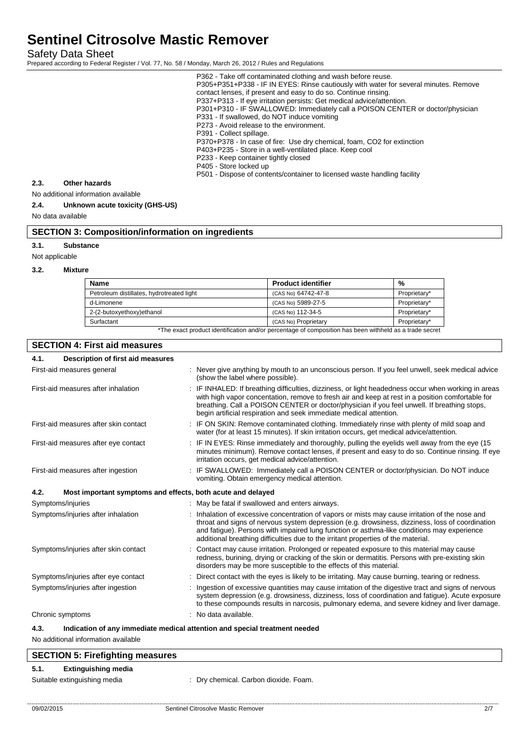Safety Data Sheet

Prepared according to Federal Register / Vol. 77, No. 58 / Monday, March 26, 2012 / Rules and Regulations

| P362 - Take off contaminated clothing and wash before reuse.<br>P305+P351+P338 - IF IN EYES: Rinse cautiously with water for several minutes. Remove<br>contact lenses, if present and easy to do so. Continue rinsing.<br>P337+P313 - If eye irritation persists: Get medical advice/attention.<br>P301+P310 - IF SWALLOWED: Immediately call a POISON CENTER or doctor/physician<br>P331 - If swallowed, do NOT induce vomiting<br>P273 - Avoid release to the environment.<br>P391 - Collect spillage.<br>P370+P378 - In case of fire: Use dry chemical, foam, CO2 for extinction<br>P403+P235 - Store in a well-ventilated place. Keep cool<br>P233 - Keep container tightly closed<br>P405 - Store locked up<br>P501 - Dispose of contents/container to licensed waste handling facility |
|-----------------------------------------------------------------------------------------------------------------------------------------------------------------------------------------------------------------------------------------------------------------------------------------------------------------------------------------------------------------------------------------------------------------------------------------------------------------------------------------------------------------------------------------------------------------------------------------------------------------------------------------------------------------------------------------------------------------------------------------------------------------------------------------------|
|                                                                                                                                                                                                                                                                                                                                                                                                                                                                                                                                                                                                                                                                                                                                                                                               |

### **2.3. Other hazards**

No additional information available

## **2.4. Unknown acute toxicity (GHS-US)**

No data available

## **SECTION 3: Composition/information on ingredients**

**3.1. Substance**

Not applicable

#### **3.2. Mixture**

| <b>Name</b>                               | <b>Product identifier</b>                                                                              | %            |
|-------------------------------------------|--------------------------------------------------------------------------------------------------------|--------------|
| Petroleum distillates, hydrotreated light | (CAS No) 64742-47-8                                                                                    | Proprietary* |
| d-Limonene                                | (CAS No) 5989-27-5                                                                                     | Proprietary* |
| 2-(2-butoxyethoxy)ethanol                 | (CAS No) 112-34-5                                                                                      | Proprietary* |
| Surfactant                                | (CAS No) Proprietary                                                                                   | Proprietary* |
|                                           | *The exact product identification and/or percentage of composition has been withheld as a trade secret |              |

## **SECTION 4: First aid measures**

| 4.1. | Description of first aid measures                                          |                                                                                                                                                                                                                                                                                                                                                                                     |
|------|----------------------------------------------------------------------------|-------------------------------------------------------------------------------------------------------------------------------------------------------------------------------------------------------------------------------------------------------------------------------------------------------------------------------------------------------------------------------------|
|      | First-aid measures general                                                 | : Never give anything by mouth to an unconscious person. If you feel unwell, seek medical advice<br>(show the label where possible).                                                                                                                                                                                                                                                |
|      | First-aid measures after inhalation                                        | : IF INHALED: If breathing difficulties, dizziness, or light headedness occur when working in areas<br>with high vapor concentation, remove to fresh air and keep at rest in a position comfortable for<br>breathing. Call a POISON CENTER or doctor/physician if you feel unwell. If breathing stops,<br>begin artificial respiration and seek immediate medical attention.        |
|      | First-aid measures after skin contact                                      | : IF ON SKIN: Remove contaminated clothing. Immediately rinse with plenty of mild soap and<br>water (for at least 15 minutes). If skin irritation occurs, get medical advice/attention.                                                                                                                                                                                             |
|      | First-aid measures after eye contact                                       | : IF IN EYES: Rinse immediately and thoroughly, pulling the eyelids well away from the eye (15<br>minutes minimum). Remove contact lenses, if present and easy to do so. Continue rinsing. If eye<br>irritation occurs, get medical advice/attention.                                                                                                                               |
|      | First-aid measures after ingestion                                         | IF SWALLOWED: Immediately call a POISON CENTER or doctor/physician. Do NOT induce<br>vomiting. Obtain emergency medical attention.                                                                                                                                                                                                                                                  |
| 4.2. | Most important symptoms and effects, both acute and delayed                |                                                                                                                                                                                                                                                                                                                                                                                     |
|      | Symptoms/injuries                                                          | : May be fatal if swallowed and enters airways.                                                                                                                                                                                                                                                                                                                                     |
|      | Symptoms/injuries after inhalation                                         | Inhalation of excessive concentration of vapors or mists may cause irritation of the nose and<br>throat and signs of nervous system depression (e.g. drowsiness, dizziness, loss of coordination<br>and fatigue). Persons with impaired lung function or asthma-like conditions may experience<br>additional breathing difficulties due to the irritant properties of the material. |
|      | Symptoms/injuries after skin contact                                       | Contact may cause irritation. Prolonged or repeated exposure to this material may cause<br>redness, burining, drying or cracking of the skin or dermatitis. Persons with pre-existing skin<br>disorders may be more susceptible to the effects of this material.                                                                                                                    |
|      | Symptoms/injuries after eye contact                                        | Direct contact with the eyes is likely to be irritating. May cause burning, tearing or redness.                                                                                                                                                                                                                                                                                     |
|      | Symptoms/injuries after ingestion                                          | Ingestion of excessive quantities may cause irritation of the digestive tract and signs of nervous<br>system depression (e.g. drowsiness, dizziness, loss of coordination and fatigue). Acute exposure<br>to these compounds results in narcosis, pulmonary edema, and severe kidney and liver damage.                                                                              |
|      | Chronic symptoms                                                           | No data available.                                                                                                                                                                                                                                                                                                                                                                  |
| 4.3. | Indication of any immediate medical attention and special treatment needed |                                                                                                                                                                                                                                                                                                                                                                                     |

No additional information available

## **SECTION 5: Firefighting measures**

## **5.1. Extinguishing media**

Suitable extinguishing media : Dry chemical. Carbon dioxide. Foam.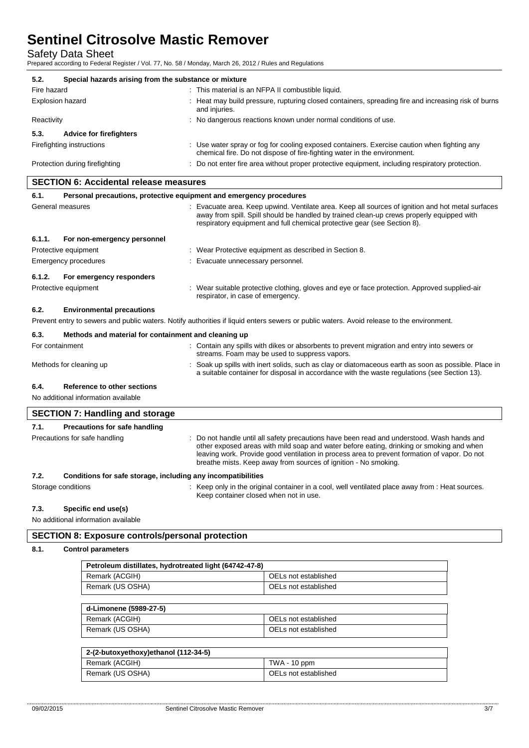Safety Data Sheet

Prepared according to Federal Register / Vol. 77, No. 58 / Monday, March 26, 2012 / Rules and Regulations

| 5.2.                                          | Special hazards arising from the substance or mixture               |  |                                                                                                                                                                                                                                                                            |
|-----------------------------------------------|---------------------------------------------------------------------|--|----------------------------------------------------------------------------------------------------------------------------------------------------------------------------------------------------------------------------------------------------------------------------|
| Fire hazard                                   |                                                                     |  | : This material is an NFPA II combustible liquid.                                                                                                                                                                                                                          |
| Explosion hazard                              |                                                                     |  | : Heat may build pressure, rupturing closed containers, spreading fire and increasing risk of burns<br>and injuries.                                                                                                                                                       |
| Reactivity                                    |                                                                     |  | : No dangerous reactions known under normal conditions of use.                                                                                                                                                                                                             |
| 5.3.                                          | <b>Advice for firefighters</b>                                      |  |                                                                                                                                                                                                                                                                            |
|                                               | Firefighting instructions                                           |  | : Use water spray or fog for cooling exposed containers. Exercise caution when fighting any<br>chemical fire. Do not dispose of fire-fighting water in the environment.                                                                                                    |
|                                               | Protection during firefighting                                      |  | : Do not enter fire area without proper protective equipment, including respiratory protection.                                                                                                                                                                            |
| <b>SECTION 6: Accidental release measures</b> |                                                                     |  |                                                                                                                                                                                                                                                                            |
| 6.1.                                          | Personal precautions, protective equipment and emergency procedures |  |                                                                                                                                                                                                                                                                            |
|                                               | General measures                                                    |  | : Evacuate area. Keep upwind. Ventilate area. Keep all sources of ignition and hot metal surfaces<br>away from spill. Spill should be handled by trained clean-up crews properly equipped with<br>respiratory equipment and full chemical protective gear (see Section 8). |
| 6.1.1.<br>For non-emergency personnel         |                                                                     |  |                                                                                                                                                                                                                                                                            |
|                                               | Protective equipment                                                |  | Wear Protective equipment as described in Section 8.                                                                                                                                                                                                                       |
|                                               | Emergency procedures                                                |  | Evacuate unnecessary personnel.                                                                                                                                                                                                                                            |
| 6.1.2.                                        | For emergency responders                                            |  |                                                                                                                                                                                                                                                                            |
|                                               | Protective equipment                                                |  | : Wear suitable protective clothing, gloves and eye or face protection. Approved supplied-air                                                                                                                                                                              |

### **6.2. Environmental precautions**

Prevent entry to sewers and public waters. Notify authorities if liquid enters sewers or public waters. Avoid release to the environment.

## **6.3. Methods and material for containment and cleaning up**

| For containment |                             | : Contain any spills with dikes or absorbents to prevent migration and entry into sewers or<br>streams. Foam may be used to suppress vapors.                                                         |
|-----------------|-----------------------------|------------------------------------------------------------------------------------------------------------------------------------------------------------------------------------------------------|
|                 | Methods for cleaning up     | : Soak up spills with inert solids, such as clay or diatomaceous earth as soon as possible. Place in<br>a suitable container for disposal in accordance with the waste regulations (see Section 13). |
| 6.4.            | Reference to other sections |                                                                                                                                                                                                      |

No additional information available

|      | <b>SECTION 7: Handling and storage</b>                       |                                                                                                                                                                                                                                                                                                                                                           |  |
|------|--------------------------------------------------------------|-----------------------------------------------------------------------------------------------------------------------------------------------------------------------------------------------------------------------------------------------------------------------------------------------------------------------------------------------------------|--|
| 7.1. | Precautions for safe handling                                |                                                                                                                                                                                                                                                                                                                                                           |  |
|      | Precautions for safe handling                                | : Do not handle until all safety precautions have been read and understood. Wash hands and<br>other exposed areas with mild soap and water before eating, drinking or smoking and when<br>leaving work. Provide good ventilation in process area to prevent formation of vapor. Do not<br>breathe mists. Keep away from sources of ignition - No smoking. |  |
| 7.2. | Conditions for safe storage, including any incompatibilities |                                                                                                                                                                                                                                                                                                                                                           |  |
|      | Storage conditions                                           | : Keep only in the original container in a cool, well ventilated place away from : Heat sources.<br>Keep container closed when not in use.                                                                                                                                                                                                                |  |

#### **7.3. Specific end use(s)**

No additional information available

### **SECTION 8: Exposure controls/personal protection**

## **8.1. Control parameters**

| Petroleum distillates, hydrotreated light (64742-47-8) |                      |  |
|--------------------------------------------------------|----------------------|--|
| Remark (ACGIH)                                         | OELs not established |  |
| Remark (US OSHA)                                       | OELs not established |  |
|                                                        |                      |  |
| d-Limonene (5989-27-5)                                 |                      |  |
| Remark (ACGIH)                                         | OELs not established |  |
| Remark (US OSHA)                                       | OELs not established |  |
|                                                        |                      |  |

| 2-(2-butoxyethoxy)ethanol (112-34-5) |                      |  |  |
|--------------------------------------|----------------------|--|--|
| Remark (ACGIH)                       | $TWA - 10$ ppm       |  |  |
| Remark (US OSHA)                     | OELs not established |  |  |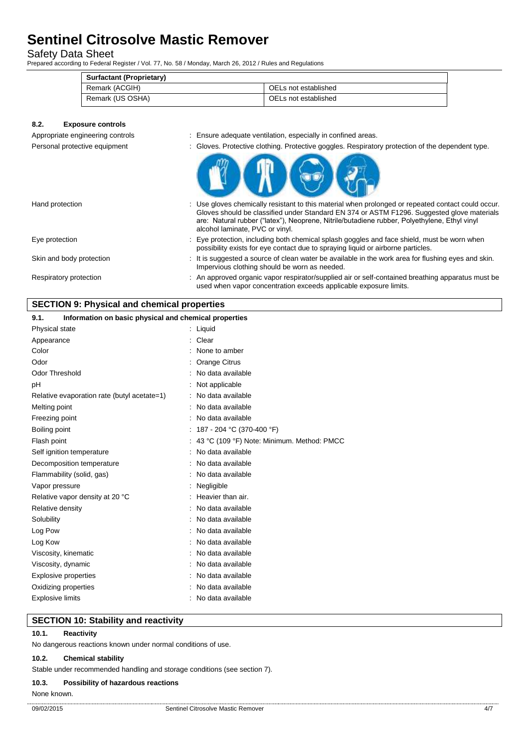Safety Data Sheet

Prepared according to Federal Register / Vol. 77, No. 58 / Monday, March 26, 2012 / Rules and Regulations

| <b>Surfactant (Proprietary)</b> |                      |  |
|---------------------------------|----------------------|--|
| Remark (ACGIH)                  | OELs not established |  |
| Remark (US OSHA)                | OELs not established |  |

## **8.2. Exposure controls**

- Appropriate engineering controls **interest in the set of the set of the set of the set of the set of the set of the set of the set of the set of the set of the set of the set of the set of the set of the set of the set of**
- Personal protective equipment : Gloves. Protective clothing. Protective goggles. Respiratory protection of the dependent type.



| Hand protection          | : Use gloves chemically resistant to this material when prolonged or repeated contact could occur.<br>Gloves should be classified under Standard EN 374 or ASTM F1296. Suggested glove materials<br>are: Natural rubber ("latex"), Neoprene, Nitrile/butadiene rubber, Polyethylene, Ethyl vinyl<br>alcohol laminate, PVC or vinyl. |
|--------------------------|-------------------------------------------------------------------------------------------------------------------------------------------------------------------------------------------------------------------------------------------------------------------------------------------------------------------------------------|
| Eye protection           | : Eye protection, including both chemical splash goggles and face shield, must be worn when<br>possibility exists for eye contact due to spraying liquid or airborne particles.                                                                                                                                                     |
| Skin and body protection | : It is suggested a source of clean water be available in the work area for flushing eyes and skin.<br>Impervious clothing should be worn as needed.                                                                                                                                                                                |
| Respiratory protection   | : An approved organic vapor respirator/supplied air or self-contained breathing apparatus must be<br>used when vapor concentration exceeds applicable exposure limits.                                                                                                                                                              |

## **SECTION 9: Physical and chemical properties**

| 9.1.<br>Information on basic physical and chemical properties |                                              |
|---------------------------------------------------------------|----------------------------------------------|
| Physical state                                                | : Liquid                                     |
| Appearance                                                    | Clear                                        |
| Color                                                         | None to amber                                |
| Odor                                                          | Orange Citrus                                |
| <b>Odor Threshold</b>                                         | No data available                            |
| рH                                                            | Not applicable                               |
| Relative evaporation rate (butyl acetate=1)                   | No data available                            |
| Melting point                                                 | No data available                            |
| Freezing point                                                | No data available                            |
| Boiling point                                                 | : 187 - 204 °C (370-400 °F)                  |
| Flash point                                                   | : 43 °C (109 °F) Note: Minimum. Method: PMCC |
| Self ignition temperature                                     | No data available                            |
| Decomposition temperature                                     | No data available                            |
| Flammability (solid, gas)                                     | No data available                            |
| Vapor pressure                                                | Negligible                                   |
| Relative vapor density at 20 °C                               | Heavier than air.                            |
| Relative density                                              | No data available                            |
| Solubility                                                    | No data available                            |
| Log Pow                                                       | No data available                            |
| Log Kow                                                       | No data available                            |
| Viscosity, kinematic                                          | No data available                            |
| Viscosity, dynamic                                            | No data available                            |
| Explosive properties                                          | No data available                            |
| Oxidizing properties                                          | No data available                            |
| <b>Explosive limits</b>                                       | No data available                            |

### **SECTION 10: Stability and reactivity**

## **10.1. Reactivity**

No dangerous reactions known under normal conditions of use.

### **10.2. Chemical stability**

Stable under recommended handling and storage conditions (see section 7).

#### **10.3. Possibility of hazardous reactions**

None known.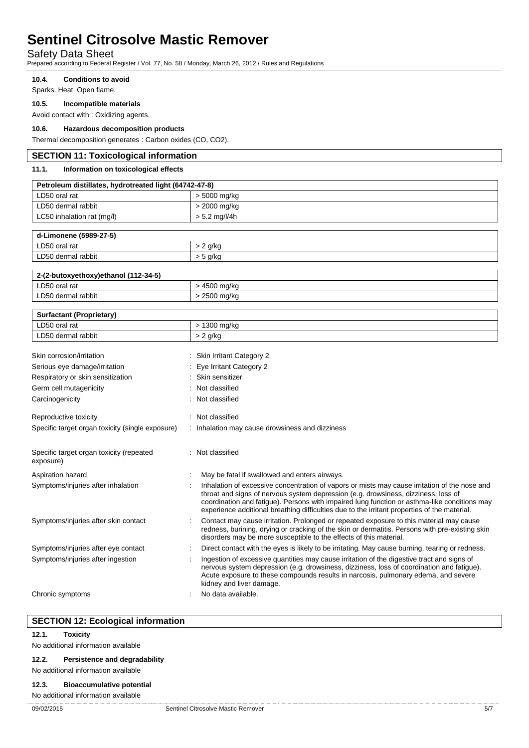## Safety Data Sheet

Prepared according to Federal Register / Vol. 77, No. 58 / Monday, March 26, 2012 / Rules and Regulations

#### **10.4. Conditions to avoid**

Sparks. Heat. Open flame.

### **10.5. Incompatible materials**

Avoid contact with : Oxidizing agents.

### **10.6. Hazardous decomposition products**

Thermal decomposition generates : Carbon oxides (CO, CO2).

## **SECTION 11: Toxicological information 11.1. Information on toxicological effects Petroleum distillates, hydrotreated light (64742-47-8)** LD50 oral rat  $\vert$  > 5000 mg/kg LD50 dermal rabbit  $\vert$  > 2000 mg/kg LC50 inhalation rat  $(mg/l)$   $>$  5.2 mg/l/4h

| d-Limonene (5989-27-5) |            |
|------------------------|------------|
| LD50 oral rat          | `q/kg      |
| LD50 dermal rabbit     | $>$ 5 g/kg |
|                        |            |

| 2-(2-butoxyethoxy)ethanol (112-34-5) |            |
|--------------------------------------|------------|
| LD50 oral rat                        | 4500 mg/ka |
| LD50 dermal rabbit                   | 2500 mg/kg |
|                                      |            |

| <b>Surfactant (Proprietary)</b>                       |                                                                                                                                                                                                                                                                                                                                                                                     |
|-------------------------------------------------------|-------------------------------------------------------------------------------------------------------------------------------------------------------------------------------------------------------------------------------------------------------------------------------------------------------------------------------------------------------------------------------------|
| LD50 oral rat                                         | > 1300 mg/kg                                                                                                                                                                                                                                                                                                                                                                        |
| LD50 dermal rabbit                                    | $> 2$ g/kg                                                                                                                                                                                                                                                                                                                                                                          |
|                                                       |                                                                                                                                                                                                                                                                                                                                                                                     |
| Skin corrosion/irritation                             | Skin Irritant Category 2                                                                                                                                                                                                                                                                                                                                                            |
| Serious eye damage/irritation                         | Eye Irritant Category 2                                                                                                                                                                                                                                                                                                                                                             |
| Respiratory or skin sensitization                     | Skin sensitizer                                                                                                                                                                                                                                                                                                                                                                     |
| Germ cell mutagenicity                                | Not classified                                                                                                                                                                                                                                                                                                                                                                      |
| Carcinogenicity                                       | Not classified                                                                                                                                                                                                                                                                                                                                                                      |
| Reproductive toxicity                                 | Not classified                                                                                                                                                                                                                                                                                                                                                                      |
| Specific target organ toxicity (single exposure)      | Inhalation may cause drowsiness and dizziness                                                                                                                                                                                                                                                                                                                                       |
| Specific target organ toxicity (repeated<br>exposure) | Not classified                                                                                                                                                                                                                                                                                                                                                                      |
| Aspiration hazard                                     | May be fatal if swallowed and enters airways.                                                                                                                                                                                                                                                                                                                                       |
| Symptoms/injuries after inhalation                    | Inhalation of excessive concentration of vapors or mists may cause irritation of the nose and<br>throat and signs of nervous system depression (e.g. drowsiness, dizziness, loss of<br>coordination and fatigue). Persons with impaired lung function or asthma-like conditions may<br>experience additional breathing difficulties due to the irritant properties of the material. |
| Symptoms/injuries after skin contact                  | Contact may cause irritation. Prolonged or repeated exposure to this material may cause<br>redness, burining, drying or cracking of the skin or dermatitis. Persons with pre-existing skin<br>disorders may be more susceptible to the effects of this material.                                                                                                                    |
| Symptoms/injuries after eye contact                   | Direct contact with the eyes is likely to be irritating. May cause burning, tearing or redness.                                                                                                                                                                                                                                                                                     |
| Symptoms/injuries after ingestion                     | Ingestion of excessive quantities may cause irritation of the digestive tract and signs of<br>nervous system depression (e.g. drowsiness, dizziness, loss of coordination and fatigue).<br>Acute exposure to these compounds results in narcosis, pulmonary edema, and severe<br>kidney and liver damage.                                                                           |
| Chronic symptoms                                      | No data available.                                                                                                                                                                                                                                                                                                                                                                  |

## **SECTION 12: Ecological information**

## **12.1. Toxicity**

No additional information available

#### **12.2. Persistence and degradability**

No additional information available

#### **12.3. Bioaccumulative potential**

## No additional information available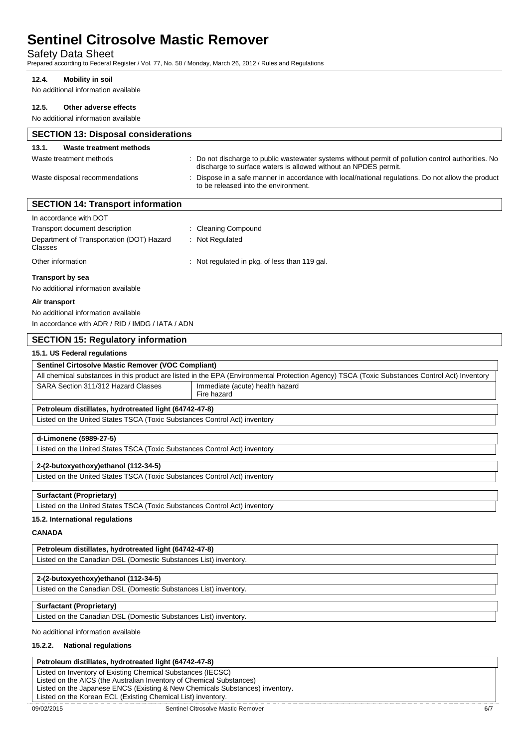## Safety Data Sheet

Prepared according to Federal Register / Vol. 77, No. 58 / Monday, March 26, 2012 / Rules and Regulations

#### **12.4. Mobility in soil**

No additional information available

| 12.5.<br>Other adverse effects                                            |                                                                                                                                                                        |
|---------------------------------------------------------------------------|------------------------------------------------------------------------------------------------------------------------------------------------------------------------|
| No additional information available                                       |                                                                                                                                                                        |
| <b>SECTION 13: Disposal considerations</b>                                |                                                                                                                                                                        |
| 13.1.<br>Waste treatment methods                                          |                                                                                                                                                                        |
| Waste treatment methods                                                   | : Do not discharge to public wastewater systems without permit of pollution control authorities. No<br>discharge to surface waters is allowed without an NPDES permit. |
| Waste disposal recommendations                                            | : Dispose in a safe manner in accordance with local/national regulations. Do not allow the product<br>to be released into the environment.                             |
| <b>SECTION 14: Transport information</b>                                  |                                                                                                                                                                        |
| In accordance with DOT                                                    |                                                                                                                                                                        |
| Transport document description                                            | : Cleaning Compound                                                                                                                                                    |
| Department of Transportation (DOT) Hazard<br>Classes                      | : Not Regulated                                                                                                                                                        |
| Other information                                                         | : Not regulated in pkg. of less than 119 gal.                                                                                                                          |
| <b>Transport by sea</b><br>No additional information available            |                                                                                                                                                                        |
|                                                                           |                                                                                                                                                                        |
| Air transport                                                             |                                                                                                                                                                        |
| No additional information available                                       |                                                                                                                                                                        |
| In accordance with ADR / RID / IMDG / IATA / ADN                          |                                                                                                                                                                        |
| <b>SECTION 15: Regulatory information</b>                                 |                                                                                                                                                                        |
| 15.1. US Federal regulations                                              |                                                                                                                                                                        |
| Sentinel Cirtosolve Mastic Remover (VOC Compliant)                        |                                                                                                                                                                        |
|                                                                           | All chemical substances in this product are listed in the EPA (Environmental Protection Agency) TSCA (Toxic Substances Control Act) Inventory                          |
| SARA Section 311/312 Hazard Classes                                       | Immediate (acute) health hazard<br>Fire hazard                                                                                                                         |
| Petroleum distillates, hydrotreated light (64742-47-8)                    |                                                                                                                                                                        |
| Listed on the United States TSCA (Toxic Substances Control Act) inventory |                                                                                                                                                                        |
| d-Limonene (5989-27-5)                                                    |                                                                                                                                                                        |
| Listed on the United States TSCA (Toxic Substances Control Act) inventory |                                                                                                                                                                        |
| 2-(2-butoxyethoxy)ethanol (112-34-5)                                      |                                                                                                                                                                        |
| Listed on the United States TSCA (Toxic Substances Control Act) inventory |                                                                                                                                                                        |
| Surfactant (Proprietary)                                                  |                                                                                                                                                                        |
| Listed on the United States TSCA (Toxic Substances Control Act) inventory |                                                                                                                                                                        |
| 15.2. International regulations                                           |                                                                                                                                                                        |
| <b>CANADA</b>                                                             |                                                                                                                                                                        |
| Petroleum distillates, hydrotreated light (64742-47-8)                    |                                                                                                                                                                        |
| Listed on the Canadian DSL (Domestic Substances List) inventory.          |                                                                                                                                                                        |
| 2-(2-butoxyethoxy)ethanol (112-34-5)                                      |                                                                                                                                                                        |
| Listed on the Canadian DSL (Domestic Substances List) inventory.          |                                                                                                                                                                        |
| <b>Surfactant (Proprietary)</b>                                           |                                                                                                                                                                        |
| Listed on the Canadian DSL (Domestic Substances List) inventory.          |                                                                                                                                                                        |
| No additional information available                                       |                                                                                                                                                                        |
| 15.2.2. National regulations                                              |                                                                                                                                                                        |
|                                                                           |                                                                                                                                                                        |

# **Petroleum distillates, hydrotreated light (64742-47-8)**

Listed on Inventory of Existing Chemical Substances (IECSC) Listed on the AICS (the Australian Inventory of Chemical Substances) Listed on the Japanese ENCS (Existing & New Chemicals Substances) inventory. Listed on the Korean ECL (Existing Chemical List) inventory.